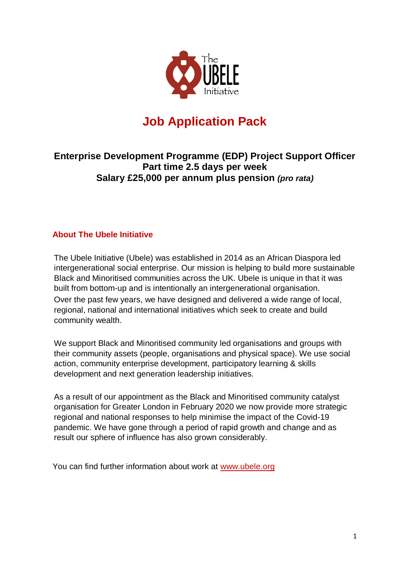

# **Job Application Pack**

# **Enterprise Development Programme (EDP) Project Support Officer Part time 2.5 days per week Salary £25,000 per annum plus pension** *(pro rata)*

# **About The Ubele Initiative**

The Ubele Initiative (Ubele) was established in 2014 as an African Diaspora led intergenerational social enterprise. Our mission is helping to build more sustainable Black and Minoritised communities across the UK. Ubele is unique in that it was built from bottom-up and is intentionally an intergenerational organisation. Over the past few years, we have designed and delivered a wide range of local, regional, national and international initiatives which seek to create and build community wealth.

We support Black and Minoritised community led organisations and groups with their community assets (people, organisations and physical space). We use social action, community enterprise development, participatory learning & skills development and next generation leadership initiatives.

As a result of our appointment as the Black and Minoritised community catalyst organisation for Greater London in February 2020 we now provide more strategic regional and national responses to help minimise the impact of the Covid-19 pandemic. We have gone through a period of rapid growth and change and as result our sphere of influence has also grown considerably.

You can find further information about work at [www.ubele.org](http://www.ubele.org/)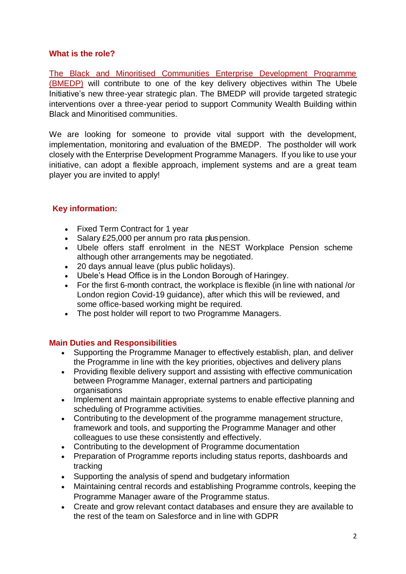#### **What is the role?**

[The Black and Minoritised Communities Enterprise Development Programme](https://www.enterprisedevelopmentprogramme.org.uk/)  [\(BMEDP\)](https://www.enterprisedevelopmentprogramme.org.uk/) will contribute to one of the key delivery objectives within The [Ubele](http://www.ubele.org/)  [Initiative's](http://www.ubele.org/) new three-year strategic plan. The BMEDP will provide targeted strategic interventions over a three-year period to support Community Wealth Building within Black and Minoritised communities.

We are looking for someone to provide vital support with the development, implementation, monitoring and evaluation of the BMEDP. The postholder will work closely with the Enterprise Development Programme Managers. If you like to use your initiative, can adopt a flexible approach, implement systems and are a great team player you are invited to apply!

## **Key information:**

- Fixed Term Contract for 1 year
- Salary £25,000 per annum pro rata plus pension.
- Ubele offers staff enrolment in the NEST Workplace Pension scheme although other arrangements may be negotiated.
- 20 days annual leave (plus public holidays).
- Ubele's Head Office is in the London Borough of Haringey.
- For the first 6-month contract, the workplace is flexible (in line with national /or London region Covid-19 guidance), after which this will be reviewed, and some office-based working might be required.
- The post holder will report to two Programme Managers.

## **Main Duties and Responsibilities**

- Supporting the Programme Manager to effectively establish, plan, and deliver the Programme in line with the key priorities, objectives and delivery plans
- Providing flexible delivery support and assisting with effective communication between Programme Manager, external partners and participating organisations
- Implement and maintain appropriate systems to enable effective planning and scheduling of Programme activities.
- Contributing to the development of the programme management structure, framework and tools, and supporting the Programme Manager and other colleagues to use these consistently and effectively.
- Contributing to the development of Programme documentation
- Preparation of Programme reports including status reports, dashboards and tracking
- Supporting the analysis of spend and budgetary information
- Maintaining central records and establishing Programme controls, keeping the Programme Manager aware of the Programme status.
- Create and grow relevant contact databases and ensure they are available to the rest of the team on Salesforce and in line with GDPR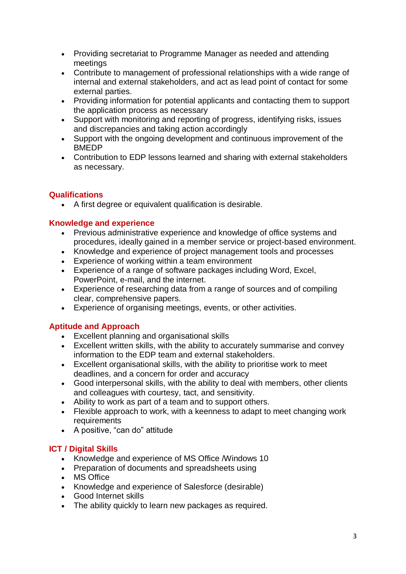- Providing secretariat to Programme Manager as needed and attending meetings
- Contribute to management of professional relationships with a wide range of internal and external stakeholders, and act as lead point of contact for some external parties.
- Providing information for potential applicants and contacting them to support the application process as necessary
- Support with monitoring and reporting of progress, identifying risks, issues and discrepancies and taking action accordingly
- Support with the ongoing development and continuous improvement of the BMEDP
- Contribution to EDP lessons learned and sharing with external stakeholders as necessary.

# **Qualifications**

A first degree or equivalent qualification is desirable.

# **Knowledge and experience**

- Previous administrative experience and knowledge of office systems and procedures, ideally gained in a member service or project-based environment.
- Knowledge and experience of project management tools and processes
- Experience of working within a team environment
- Experience of a range of software packages including Word, Excel, PowerPoint, e-mail, and the internet.
- Experience of researching data from a range of sources and of compiling clear, comprehensive papers.
- Experience of organising meetings, events, or other activities.

## **Aptitude and Approach**

- Excellent planning and organisational skills
- Excellent written skills, with the ability to accurately summarise and convey information to the EDP team and external stakeholders.
- Excellent organisational skills, with the ability to prioritise work to meet deadlines, and a concern for order and accuracy
- Good interpersonal skills, with the ability to deal with members, other clients and colleagues with courtesy, tact, and sensitivity.
- Ability to work as part of a team and to support others.
- Flexible approach to work, with a keenness to adapt to meet changing work requirements
- A positive, "can do" attitude

# **ICT / Digital Skills**

- Knowledge and experience of MS Office /Windows 10
- Preparation of documents and spreadsheets using
- MS Office
- Knowledge and experience of Salesforce (desirable)
- Good Internet skills
- The ability quickly to learn new packages as required.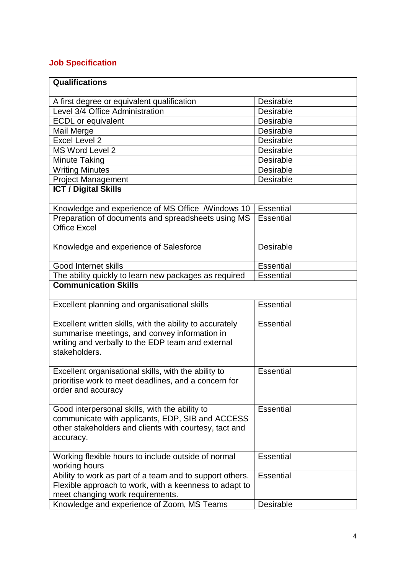# **Job Specification**

| <b>Qualifications</b>                                                                                                                                                           |                  |
|---------------------------------------------------------------------------------------------------------------------------------------------------------------------------------|------------------|
| A first degree or equivalent qualification                                                                                                                                      | <b>Desirable</b> |
| Level 3/4 Office Administration                                                                                                                                                 | <b>Desirable</b> |
| <b>ECDL</b> or equivalent                                                                                                                                                       | <b>Desirable</b> |
| Mail Merge                                                                                                                                                                      | Desirable        |
| Excel Level 2                                                                                                                                                                   | <b>Desirable</b> |
| <b>MS Word Level 2</b>                                                                                                                                                          | <b>Desirable</b> |
| <b>Minute Taking</b>                                                                                                                                                            | Desirable        |
| <b>Writing Minutes</b>                                                                                                                                                          | <b>Desirable</b> |
| <b>Project Management</b>                                                                                                                                                       | Desirable        |
| <b>ICT / Digital Skills</b>                                                                                                                                                     |                  |
| Knowledge and experience of MS Office /Windows 10                                                                                                                               | <b>Essential</b> |
| Preparation of documents and spreadsheets using MS<br><b>Office Excel</b>                                                                                                       | <b>Essential</b> |
| Knowledge and experience of Salesforce                                                                                                                                          | Desirable        |
| Good Internet skills                                                                                                                                                            | <b>Essential</b> |
| The ability quickly to learn new packages as required                                                                                                                           | <b>Essential</b> |
| <b>Communication Skills</b>                                                                                                                                                     |                  |
| Excellent planning and organisational skills                                                                                                                                    | <b>Essential</b> |
| Excellent written skills, with the ability to accurately<br>summarise meetings, and convey information in<br>writing and verbally to the EDP team and external<br>stakeholders. | <b>Essential</b> |
| Excellent organisational skills, with the ability to<br>prioritise work to meet deadlines, and a concern for<br>order and accuracy                                              | <b>Essential</b> |
| Good interpersonal skills, with the ability to<br>communicate with applicants, EDP, SIB and ACCESS<br>other stakeholders and clients with courtesy, tact and<br>accuracy.       | <b>Essential</b> |
| Working flexible hours to include outside of normal<br>working hours                                                                                                            | <b>Essential</b> |
| Ability to work as part of a team and to support others.<br>Flexible approach to work, with a keenness to adapt to<br>meet changing work requirements.                          | Essential        |
| Knowledge and experience of Zoom, MS Teams                                                                                                                                      | Desirable        |